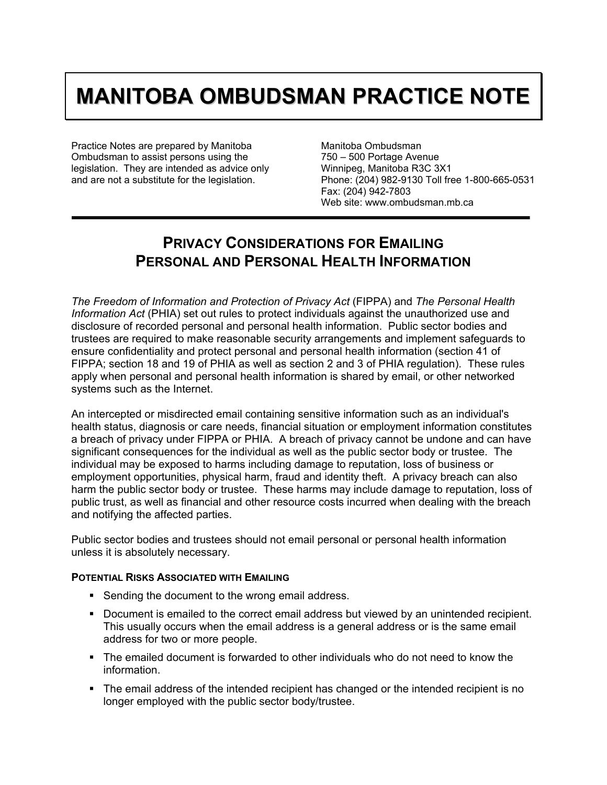## **MANITOBA OMBUDSMAN PRACTICE NOTE**

Practice Notes are prepared by Manitoba Ombudsman to assist persons using the legislation. They are intended as advice only and are not a substitute for the legislation.

Manitoba Ombudsman 750 – 500 Portage Avenue Winnipeg, Manitoba R3C 3X1 Phone: (204) 982-9130 Toll free 1-800-665-0531 Fax: (204) 942-7803 Web site: www.ombudsman.mb.ca

## **PRIVACY CONSIDERATIONS FOR EMAILING PERSONAL AND PERSONAL HEALTH INFORMATION**

*The Freedom of Information and Protection of Privacy Act* (FIPPA) and *The Personal Health Information Act* (PHIA) set out rules to protect individuals against the unauthorized use and disclosure of recorded personal and personal health information. Public sector bodies and trustees are required to make reasonable security arrangements and implement safeguards to ensure confidentiality and protect personal and personal health information (section 41 of FIPPA; section 18 and 19 of PHIA as well as section 2 and 3 of PHIA regulation). These rules apply when personal and personal health information is shared by email, or other networked systems such as the Internet.

An intercepted or misdirected email containing sensitive information such as an individual's health status, diagnosis or care needs, financial situation or employment information constitutes a breach of privacy under FIPPA or PHIA. A breach of privacy cannot be undone and can have significant consequences for the individual as well as the public sector body or trustee. The individual may be exposed to harms including damage to reputation, loss of business or employment opportunities, physical harm, fraud and identity theft. A privacy breach can also harm the public sector body or trustee. These harms may include damage to reputation, loss of public trust, as well as financial and other resource costs incurred when dealing with the breach and notifying the affected parties.

Public sector bodies and trustees should not email personal or personal health information unless it is absolutely necessary.

## **POTENTIAL RISKS ASSOCIATED WITH EMAILING**

- **Sending the document to the wrong email address.**
- Document is emailed to the correct email address but viewed by an unintended recipient. This usually occurs when the email address is a general address or is the same email address for two or more people.
- The emailed document is forwarded to other individuals who do not need to know the information.
- The email address of the intended recipient has changed or the intended recipient is no longer employed with the public sector body/trustee.